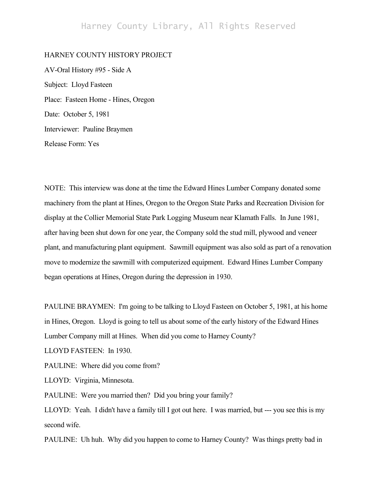## Harney County Library, All Rights Reserved

## HARNEY COUNTY HISTORY PROJECT

AV-Oral History #95 - Side A Subject: Lloyd Fasteen Place: Fasteen Home - Hines, Oregon Date: October 5, 1981 Interviewer: Pauline Braymen Release Form: Yes

NOTE: This interview was done at the time the Edward Hines Lumber Company donated some machinery from the plant at Hines, Oregon to the Oregon State Parks and Recreation Division for display at the Collier Memorial State Park Logging Museum near Klamath Falls. In June 1981, after having been shut down for one year, the Company sold the stud mill, plywood and veneer plant, and manufacturing plant equipment. Sawmill equipment was also sold as part of a renovation move to modernize the sawmill with computerized equipment. Edward Hines Lumber Company began operations at Hines, Oregon during the depression in 1930.

PAULINE BRAYMEN: I'm going to be talking to Lloyd Fasteen on October 5, 1981, at his home in Hines, Oregon. Lloyd is going to tell us about some of the early history of the Edward Hines Lumber Company mill at Hines. When did you come to Harney County?

LLOYD FASTEEN: In 1930.

PAULINE: Where did you come from?

LLOYD: Virginia, Minnesota.

PAULINE: Were you married then? Did you bring your family?

LLOYD: Yeah. I didn't have a family till I got out here. I was married, but --- you see this is my second wife.

PAULINE: Uh huh. Why did you happen to come to Harney County? Was things pretty bad in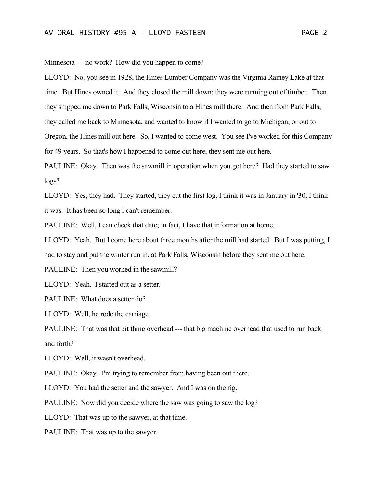Minnesota --- no work? How did you happen to come?

LLOYD: No, you see in 1928, the Hines Lumber Company was the Virginia Rainey Lake at that time. But Hines owned it. And they closed the mill down; they were running out of timber. Then they shipped me down to Park Falls, Wisconsin to a Hines mill there. And then from Park Falls, they called me back to Minnesota, and wanted to know if I wanted to go to Michigan, or out to Oregon, the Hines mill out here. So, I wanted to come west. You see I've worked for this Company for 49 years. So that's how I happened to come out here, they sent me out here.

PAULINE: Okay. Then was the sawmill in operation when you got here? Had they started to saw logs?

LLOYD: Yes, they had. They started, they cut the first log, I think it was in January in '30, I think it was. It has been so long I can't remember.

PAULINE: Well, I can check that date; in fact, I have that information at home.

LLOYD: Yeah. But I come here about three months after the mill had started. But I was putting, I had to stay and put the winter run in, at Park Falls, Wisconsin before they sent me out here.

PAULINE: Then you worked in the sawmill?

LLOYD: Yeah. I started out as a setter.

PAULINE: What does a setter do?

LLOYD: Well, he rode the carriage.

PAULINE: That was that bit thing overhead --- that big machine overhead that used to run back and forth?

LLOYD: Well, it wasn't overhead.

PAULINE: Okay. I'm trying to remember from having been out there.

LLOYD: You had the setter and the sawyer. And I was on the rig.

PAULINE: Now did you decide where the saw was going to saw the log?

LLOYD: That was up to the sawyer, at that time.

PAULINE: That was up to the sawyer.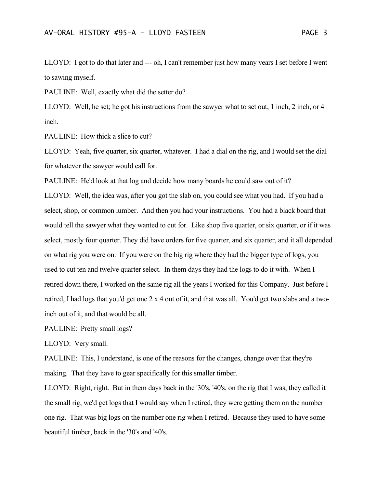LLOYD: I got to do that later and --- oh, I can't remember just how many years I set before I went to sawing myself.

PAULINE: Well, exactly what did the setter do?

LLOYD: Well, he set; he got his instructions from the sawyer what to set out, 1 inch, 2 inch, or 4 inch.

PAULINE: How thick a slice to cut?

LLOYD: Yeah, five quarter, six quarter, whatever. I had a dial on the rig, and I would set the dial for whatever the sawyer would call for.

PAULINE: He'd look at that log and decide how many boards he could saw out of it?

LLOYD: Well, the idea was, after you got the slab on, you could see what you had. If you had a select, shop, or common lumber. And then you had your instructions. You had a black board that would tell the sawyer what they wanted to cut for. Like shop five quarter, or six quarter, or if it was select, mostly four quarter. They did have orders for five quarter, and six quarter, and it all depended on what rig you were on. If you were on the big rig where they had the bigger type of logs, you used to cut ten and twelve quarter select. In them days they had the logs to do it with. When I retired down there, I worked on the same rig all the years I worked for this Company. Just before I retired, I had logs that you'd get one 2 x 4 out of it, and that was all. You'd get two slabs and a twoinch out of it, and that would be all.

PAULINE: Pretty small logs?

LLOYD: Very small.

PAULINE: This, I understand, is one of the reasons for the changes, change over that they're making. That they have to gear specifically for this smaller timber.

LLOYD: Right, right. But in them days back in the '30's, '40's, on the rig that I was, they called it the small rig, we'd get logs that I would say when I retired, they were getting them on the number one rig. That was big logs on the number one rig when I retired. Because they used to have some beautiful timber, back in the '30's and '40's.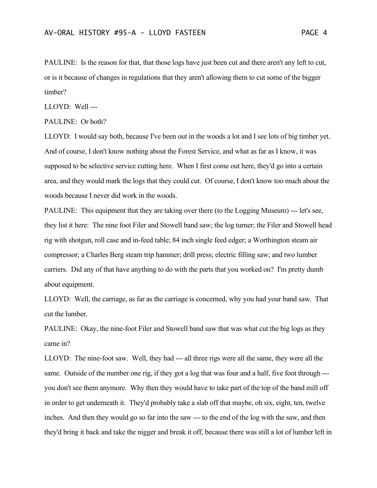PAULINE: Is the reason for that, that those logs have just been cut and there aren't any left to cut, or is it because of changes in regulations that they aren't allowing them to cut some of the bigger timber?

LLOYD: Well ---

## PAULINE: Or both?

LLOYD: I would say both, because I've been out in the woods a lot and I see lots of big timber yet. And of course, I don't know nothing about the Forest Service, and what as far as I know, it was supposed to be selective service cutting here. When I first come out here, they'd go into a certain area, and they would mark the logs that they could cut. Of course, I don't know too much about the woods because I never did work in the woods.

PAULINE: This equipment that they are taking over there (to the Logging Museum) --- let's see, they list it here: The nine foot Filer and Stowell band saw; the log turner; the Filer and Stowell head rig with shotgun, roll case and in-feed table; 84 inch single feed edger; a Worthington steam air compressor; a Charles Berg steam trip hammer; drill press; electric filling saw; and two lumber carriers. Did any of that have anything to do with the parts that you worked on? I'm pretty dumb about equipment.

LLOYD: Well, the carriage, as far as the carriage is concerned, why you had your band saw. That cut the lumber.

PAULINE: Okay, the nine-foot Filer and Stowell band saw that was what cut the big logs as they came in?

LLOYD: The nine-foot saw. Well, they had --- all three rigs were all the same, they were all the same. Outside of the number one rig, if they got a log that was four and a half, five foot through -- you don't see them anymore. Why then they would have to take part of the top of the band mill off in order to get underneath it. They'd probably take a slab off that maybe, oh six, eight, ten, twelve inches. And then they would go so far into the saw --- to the end of the log with the saw, and then they'd bring it back and take the nigger and break it off, because there was still a lot of lumber left in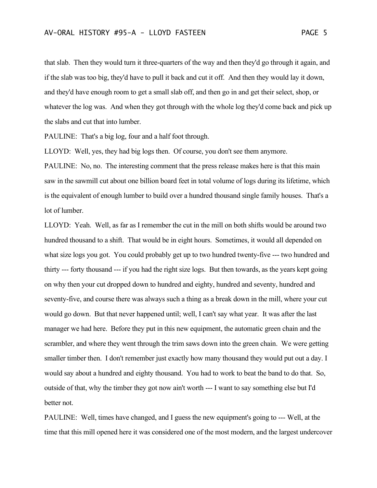that slab. Then they would turn it three-quarters of the way and then they'd go through it again, and if the slab was too big, they'd have to pull it back and cut it off. And then they would lay it down, and they'd have enough room to get a small slab off, and then go in and get their select, shop, or whatever the log was. And when they got through with the whole log they'd come back and pick up the slabs and cut that into lumber.

PAULINE: That's a big log, four and a half foot through.

LLOYD: Well, yes, they had big logs then. Of course, you don't see them anymore.

PAULINE: No, no. The interesting comment that the press release makes here is that this main saw in the sawmill cut about one billion board feet in total volume of logs during its lifetime, which is the equivalent of enough lumber to build over a hundred thousand single family houses. That's a lot of lumber.

LLOYD: Yeah. Well, as far as I remember the cut in the mill on both shifts would be around two hundred thousand to a shift. That would be in eight hours. Sometimes, it would all depended on what size logs you got. You could probably get up to two hundred twenty-five --- two hundred and thirty --- forty thousand --- if you had the right size logs. But then towards, as the years kept going on why then your cut dropped down to hundred and eighty, hundred and seventy, hundred and seventy-five, and course there was always such a thing as a break down in the mill, where your cut would go down. But that never happened until; well, I can't say what year. It was after the last manager we had here. Before they put in this new equipment, the automatic green chain and the scrambler, and where they went through the trim saws down into the green chain. We were getting smaller timber then. I don't remember just exactly how many thousand they would put out a day. I would say about a hundred and eighty thousand. You had to work to beat the band to do that. So, outside of that, why the timber they got now ain't worth --- I want to say something else but I'd better not.

PAULINE: Well, times have changed, and I guess the new equipment's going to --- Well, at the time that this mill opened here it was considered one of the most modern, and the largest undercover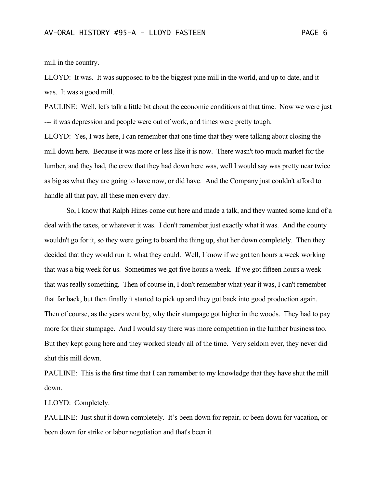mill in the country.

LLOYD: It was. It was supposed to be the biggest pine mill in the world, and up to date, and it was. It was a good mill.

PAULINE: Well, let's talk a little bit about the economic conditions at that time. Now we were just --- it was depression and people were out of work, and times were pretty tough.

LLOYD: Yes, I was here, I can remember that one time that they were talking about closing the mill down here. Because it was more or less like it is now. There wasn't too much market for the lumber, and they had, the crew that they had down here was, well I would say was pretty near twice as big as what they are going to have now, or did have. And the Company just couldn't afford to handle all that pay, all these men every day.

So, I know that Ralph Hines come out here and made a talk, and they wanted some kind of a deal with the taxes, or whatever it was. I don't remember just exactly what it was. And the county wouldn't go for it, so they were going to board the thing up, shut her down completely. Then they decided that they would run it, what they could. Well, I know if we got ten hours a week working that was a big week for us. Sometimes we got five hours a week. If we got fifteen hours a week that was really something. Then of course in, I don't remember what year it was, I can't remember that far back, but then finally it started to pick up and they got back into good production again. Then of course, as the years went by, why their stumpage got higher in the woods. They had to pay more for their stumpage. And I would say there was more competition in the lumber business too. But they kept going here and they worked steady all of the time. Very seldom ever, they never did shut this mill down.

PAULINE: This is the first time that I can remember to my knowledge that they have shut the mill down.

LLOYD: Completely.

PAULINE: Just shut it down completely. It's been down for repair, or been down for vacation, or been down for strike or labor negotiation and that's been it.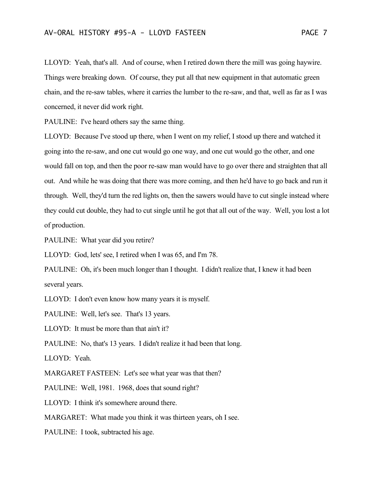LLOYD: Yeah, that's all. And of course, when I retired down there the mill was going haywire. Things were breaking down. Of course, they put all that new equipment in that automatic green chain, and the re-saw tables, where it carries the lumber to the re-saw, and that, well as far as I was concerned, it never did work right.

PAULINE: I've heard others say the same thing.

LLOYD: Because I've stood up there, when I went on my relief, I stood up there and watched it going into the re-saw, and one cut would go one way, and one cut would go the other, and one would fall on top, and then the poor re-saw man would have to go over there and straighten that all out. And while he was doing that there was more coming, and then he'd have to go back and run it through. Well, they'd turn the red lights on, then the sawers would have to cut single instead where they could cut double, they had to cut single until he got that all out of the way. Well, you lost a lot of production.

PAULINE: What year did you retire?

LLOYD: God, lets' see, I retired when I was 65, and I'm 78.

PAULINE: Oh, it's been much longer than I thought. I didn't realize that, I knew it had been several years.

LLOYD: I don't even know how many years it is myself.

PAULINE: Well, let's see. That's 13 years.

LLOYD: It must be more than that ain't it?

PAULINE: No, that's 13 years. I didn't realize it had been that long.

LLOYD: Yeah.

MARGARET FASTEEN: Let's see what year was that then?

PAULINE: Well, 1981. 1968, does that sound right?

LLOYD: I think it's somewhere around there.

MARGARET: What made you think it was thirteen years, oh I see.

PAULINE: I took, subtracted his age.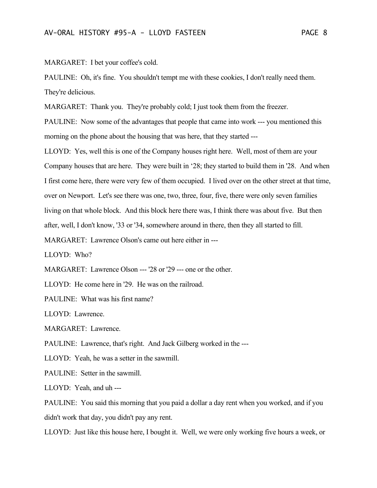MARGARET: I bet your coffee's cold.

PAULINE: Oh, it's fine. You shouldn't tempt me with these cookies, I don't really need them. They're delicious.

MARGARET: Thank you. They're probably cold; I just took them from the freezer.

PAULINE: Now some of the advantages that people that came into work --- you mentioned this morning on the phone about the housing that was here, that they started ---

LLOYD: Yes, well this is one of the Company houses right here. Well, most of them are your Company houses that are here. They were built in '28; they started to build them in '28. And when I first come here, there were very few of them occupied. I lived over on the other street at that time, over on Newport. Let's see there was one, two, three, four, five, there were only seven families living on that whole block. And this block here there was, I think there was about five. But then after, well, I don't know, '33 or '34, somewhere around in there, then they all started to fill.

MARGARET: Lawrence Olson's came out here either in ---

LLOYD: Who?

MARGARET: Lawrence Olson --- '28 or '29 --- one or the other.

LLOYD: He come here in '29. He was on the railroad.

PAULINE: What was his first name?

LLOYD: Lawrence.

MARGARET: Lawrence.

PAULINE: Lawrence, that's right. And Jack Gilberg worked in the ---

LLOYD: Yeah, he was a setter in the sawmill.

PAULINE: Setter in the sawmill.

LLOYD: Yeah, and uh ---

PAULINE: You said this morning that you paid a dollar a day rent when you worked, and if you didn't work that day, you didn't pay any rent.

LLOYD: Just like this house here, I bought it. Well, we were only working five hours a week, or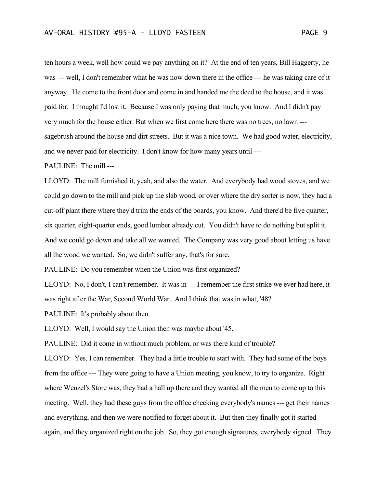ten hours a week, well how could we pay anything on it? At the end of ten years, Bill Haggerty, he was --- well, I don't remember what he was now down there in the office --- he was taking care of it anyway. He come to the front door and come in and handed me the deed to the house, and it was paid for. I thought I'd lost it. Because I was only paying that much, you know. And I didn't pay very much for the house either. But when we first come here there was no trees, no lawn -- sagebrush around the house and dirt streets. But it was a nice town. We had good water, electricity, and we never paid for electricity. I don't know for how many years until ---

PAULINE: The mill ---

LLOYD: The mill furnished it, yeah, and also the water. And everybody had wood stoves, and we could go down to the mill and pick up the slab wood, or over where the dry sorter is now, they had a cut-off plant there where they'd trim the ends of the boards, you know. And there'd be five quarter, six quarter, eight-quarter ends, good lumber already cut. You didn't have to do nothing but split it. And we could go down and take all we wanted. The Company was very good about letting us have all the wood we wanted. So, we didn't suffer any, that's for sure.

PAULINE: Do you remember when the Union was first organized?

LLOYD: No, I don't, I can't remember. It was in --- I remember the first strike we ever had here, it was right after the War, Second World War. And I think that was in what, '48?

PAULINE: It's probably about then.

LLOYD: Well, I would say the Union then was maybe about '45.

PAULINE: Did it come in without much problem, or was there kind of trouble?

LLOYD: Yes, I can remember. They had a little trouble to start with. They had some of the boys from the office --- They were going to have a Union meeting, you know, to try to organize. Right where Wenzel's Store was, they had a hall up there and they wanted all the men to come up to this meeting. Well, they had these guys from the office checking everybody's names --- get their names and everything, and then we were notified to forget about it. But then they finally got it started again, and they organized right on the job. So, they got enough signatures, everybody signed. They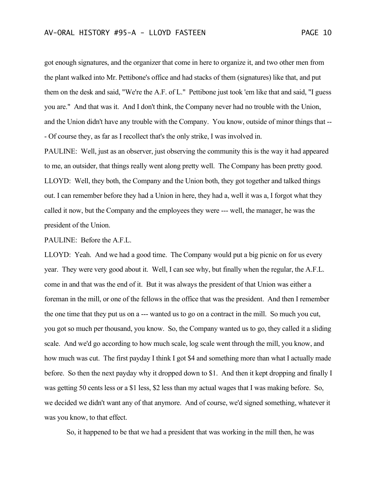got enough signatures, and the organizer that come in here to organize it, and two other men from the plant walked into Mr. Pettibone's office and had stacks of them (signatures) like that, and put them on the desk and said, "We're the A.F. of L." Pettibone just took 'em like that and said, "I guess you are." And that was it. And I don't think, the Company never had no trouble with the Union, and the Union didn't have any trouble with the Company. You know, outside of minor things that -- - Of course they, as far as I recollect that's the only strike, I was involved in.

PAULINE: Well, just as an observer, just observing the community this is the way it had appeared to me, an outsider, that things really went along pretty well. The Company has been pretty good. LLOYD: Well, they both, the Company and the Union both, they got together and talked things out. I can remember before they had a Union in here, they had a, well it was a, I forgot what they called it now, but the Company and the employees they were --- well, the manager, he was the president of the Union.

## PAULINE: Before the A.F.L.

LLOYD: Yeah. And we had a good time. The Company would put a big picnic on for us every year. They were very good about it. Well, I can see why, but finally when the regular, the A.F.L. come in and that was the end of it. But it was always the president of that Union was either a foreman in the mill, or one of the fellows in the office that was the president. And then I remember the one time that they put us on a --- wanted us to go on a contract in the mill. So much you cut, you got so much per thousand, you know. So, the Company wanted us to go, they called it a sliding scale. And we'd go according to how much scale, log scale went through the mill, you know, and how much was cut. The first payday I think I got \$4 and something more than what I actually made before. So then the next payday why it dropped down to \$1. And then it kept dropping and finally I was getting 50 cents less or a \$1 less, \$2 less than my actual wages that I was making before. So, we decided we didn't want any of that anymore. And of course, we'd signed something, whatever it was you know, to that effect.

So, it happened to be that we had a president that was working in the mill then, he was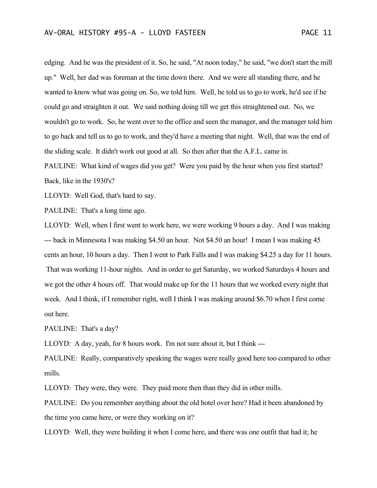edging. And he was the president of it. So, he said, "At noon today," he said, "we don't start the mill up." Well, her dad was foreman at the time down there. And we were all standing there, and he wanted to know what was going on. So, we told him. Well, he told us to go to work, he'd see if he could go and straighten it out. We said nothing doing till we get this straightened out. No, we wouldn't go to work. So, he went over to the office and seen the manager, and the manager told him to go back and tell us to go to work, and they'd have a meeting that night. Well, that was the end of the sliding scale. It didn't work out good at all. So then after that the A.F.L. came in. PAULINE: What kind of wages did you get? Were you paid by the hour when you first started?

Back, like in the 1930's?

LLOYD: Well God, that's hard to say.

PAULINE: That's a long time ago.

LLOYD: Well, when I first went to work here, we were working 9 hours a day. And I was making --- back in Minnesota I was making \$4.50 an hour. Not \$4.50 an hour! I mean I was making 45 cents an hour, 10 hours a day. Then I went to Park Falls and I was making \$4.25 a day for 11 hours. That was working 11-hour nights. And in order to get Saturday, we worked Saturdays 4 hours and we got the other 4 hours off. That would make up for the 11 hours that we worked every night that week. And I think, if I remember right, well I think I was making around \$6.70 when I first come out here.

PAULINE: That's a day?

LLOYD: A day, yeah, for 8 hours work. I'm not sure about it, but I think ---

PAULINE: Really, comparatively speaking the wages were really good here too compared to other mills.

LLOYD: They were, they were. They paid more then than they did in other mills.

PAULINE: Do you remember anything about the old hotel over here? Had it been abandoned by the time you came here, or were they working on it?

LLOYD: Well, they were building it when I come here, and there was one outfit that had it; he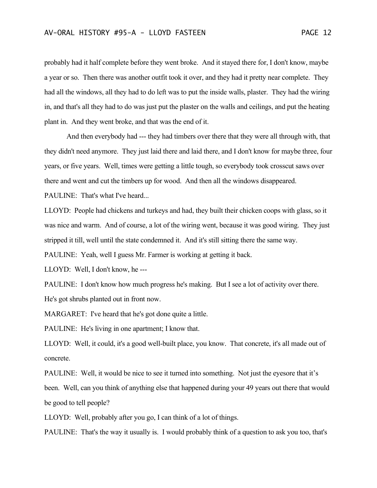probably had it half complete before they went broke. And it stayed there for, I don't know, maybe a year or so. Then there was another outfit took it over, and they had it pretty near complete. They had all the windows, all they had to do left was to put the inside walls, plaster. They had the wiring in, and that's all they had to do was just put the plaster on the walls and ceilings, and put the heating plant in. And they went broke, and that was the end of it.

And then everybody had --- they had timbers over there that they were all through with, that they didn't need anymore. They just laid there and laid there, and I don't know for maybe three, four years, or five years. Well, times were getting a little tough, so everybody took crosscut saws over there and went and cut the timbers up for wood. And then all the windows disappeared.

PAULINE: That's what I've heard...

LLOYD: People had chickens and turkeys and had, they built their chicken coops with glass, so it was nice and warm. And of course, a lot of the wiring went, because it was good wiring. They just stripped it till, well until the state condemned it. And it's still sitting there the same way.

PAULINE: Yeah, well I guess Mr. Farmer is working at getting it back.

LLOYD: Well, I don't know, he ---

PAULINE: I don't know how much progress he's making. But I see a lot of activity over there. He's got shrubs planted out in front now.

MARGARET: I've heard that he's got done quite a little.

PAULINE: He's living in one apartment; I know that.

LLOYD: Well, it could, it's a good well-built place, you know. That concrete, it's all made out of concrete.

PAULINE: Well, it would be nice to see it turned into something. Not just the eyesore that it's been. Well, can you think of anything else that happened during your 49 years out there that would be good to tell people?

LLOYD: Well, probably after you go, I can think of a lot of things.

PAULINE: That's the way it usually is. I would probably think of a question to ask you too, that's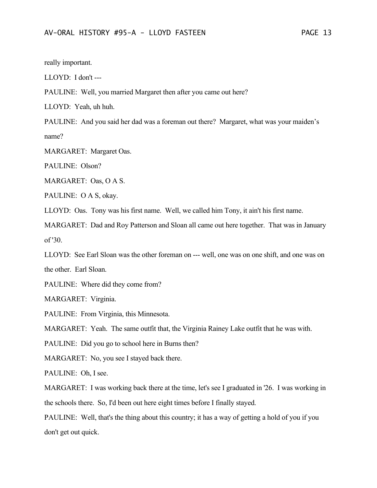really important.

LLOYD: I don't ---

PAULINE: Well, you married Margaret then after you came out here?

LLOYD: Yeah, uh huh.

PAULINE: And you said her dad was a foreman out there? Margaret, what was your maiden's name?

MARGARET: Margaret Oas.

PAULINE: Olson?

MARGARET: Oas, O A S.

PAULINE: O A S, okay.

LLOYD: Oas. Tony was his first name. Well, we called him Tony, it ain't his first name.

MARGARET: Dad and Roy Patterson and Sloan all came out here together. That was in January of '30.

LLOYD: See Earl Sloan was the other foreman on --- well, one was on one shift, and one was on the other. Earl Sloan.

PAULINE: Where did they come from?

MARGARET: Virginia.

PAULINE: From Virginia, this Minnesota.

MARGARET: Yeah. The same outfit that, the Virginia Rainey Lake outfit that he was with.

PAULINE: Did you go to school here in Burns then?

MARGARET: No, you see I stayed back there.

PAULINE: Oh, I see.

MARGARET: I was working back there at the time, let's see I graduated in '26. I was working in the schools there. So, I'd been out here eight times before I finally stayed.

PAULINE: Well, that's the thing about this country; it has a way of getting a hold of you if you don't get out quick.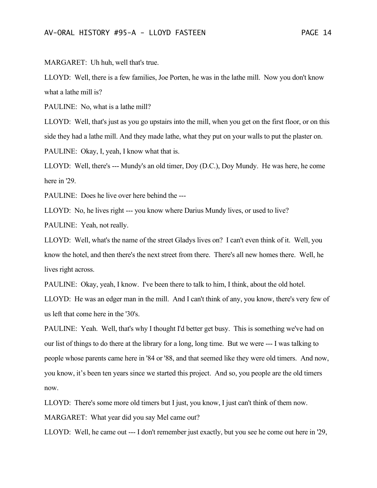MARGARET: Uh huh, well that's true.

LLOYD: Well, there is a few families, Joe Porten, he was in the lathe mill. Now you don't know what a lathe mill is?

PAULINE: No, what is a lathe mill?

LLOYD: Well, that's just as you go upstairs into the mill, when you get on the first floor, or on this side they had a lathe mill. And they made lathe, what they put on your walls to put the plaster on. PAULINE: Okay, I, yeah, I know what that is.

LLOYD: Well, there's --- Mundy's an old timer, Doy (D.C.), Doy Mundy. He was here, he come here in '29.

PAULINE: Does he live over here behind the ---

LLOYD: No, he lives right --- you know where Darius Mundy lives, or used to live?

PAULINE: Yeah, not really.

LLOYD: Well, what's the name of the street Gladys lives on? I can't even think of it. Well, you know the hotel, and then there's the next street from there. There's all new homes there. Well, he lives right across.

PAULINE: Okay, yeah, I know. I've been there to talk to him, I think, about the old hotel. LLOYD: He was an edger man in the mill. And I can't think of any, you know, there's very few of us left that come here in the '30's.

PAULINE: Yeah. Well, that's why I thought I'd better get busy. This is something we've had on our list of things to do there at the library for a long, long time. But we were --- I was talking to people whose parents came here in '84 or '88, and that seemed like they were old timers. And now, you know, it's been ten years since we started this project. And so, you people are the old timers now.

LLOYD: There's some more old timers but I just, you know, I just can't think of them now.

MARGARET: What year did you say Mel came out?

LLOYD: Well, he came out --- I don't remember just exactly, but you see he come out here in '29,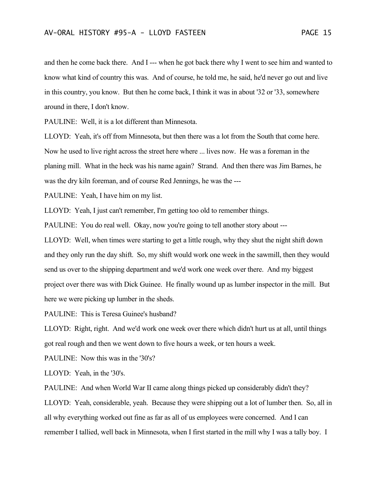and then he come back there. And I --- when he got back there why I went to see him and wanted to know what kind of country this was. And of course, he told me, he said, he'd never go out and live in this country, you know. But then he come back, I think it was in about '32 or '33, somewhere around in there, I don't know.

PAULINE: Well, it is a lot different than Minnesota.

LLOYD: Yeah, it's off from Minnesota, but then there was a lot from the South that come here. Now he used to live right across the street here where ... lives now. He was a foreman in the planing mill. What in the heck was his name again? Strand. And then there was Jim Barnes, he was the dry kiln foreman, and of course Red Jennings, he was the ---

PAULINE: Yeah, I have him on my list.

LLOYD: Yeah, I just can't remember, I'm getting too old to remember things.

PAULINE: You do real well. Okay, now you're going to tell another story about ---

LLOYD: Well, when times were starting to get a little rough, why they shut the night shift down and they only run the day shift. So, my shift would work one week in the sawmill, then they would send us over to the shipping department and we'd work one week over there. And my biggest project over there was with Dick Guinee. He finally wound up as lumber inspector in the mill. But here we were picking up lumber in the sheds.

PAULINE: This is Teresa Guinee's husband?

LLOYD: Right, right. And we'd work one week over there which didn't hurt us at all, until things got real rough and then we went down to five hours a week, or ten hours a week.

PAULINE: Now this was in the '30's?

LLOYD: Yeah, in the '30's.

PAULINE: And when World War II came along things picked up considerably didn't they?

LLOYD: Yeah, considerable, yeah. Because they were shipping out a lot of lumber then. So, all in all why everything worked out fine as far as all of us employees were concerned. And I can remember I tallied, well back in Minnesota, when I first started in the mill why I was a tally boy. I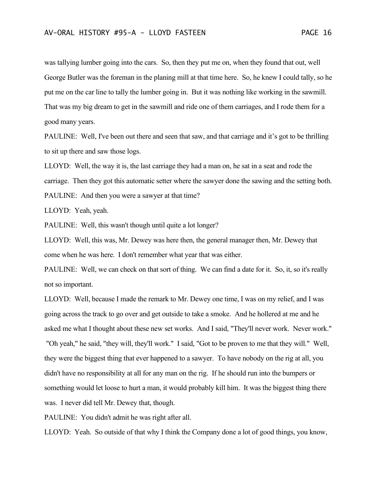was tallying lumber going into the cars. So, then they put me on, when they found that out, well George Butler was the foreman in the planing mill at that time here. So, he knew I could tally, so he put me on the car line to tally the lumber going in. But it was nothing like working in the sawmill. That was my big dream to get in the sawmill and ride one of them carriages, and I rode them for a good many years.

PAULINE: Well, I've been out there and seen that saw, and that carriage and it's got to be thrilling to sit up there and saw those logs.

LLOYD: Well, the way it is, the last carriage they had a man on, he sat in a seat and rode the carriage. Then they got this automatic setter where the sawyer done the sawing and the setting both. PAULINE: And then you were a sawyer at that time?

LLOYD: Yeah, yeah.

PAULINE: Well, this wasn't though until quite a lot longer?

LLOYD: Well, this was, Mr. Dewey was here then, the general manager then, Mr. Dewey that come when he was here. I don't remember what year that was either.

PAULINE: Well, we can check on that sort of thing. We can find a date for it. So, it, so it's really not so important.

LLOYD: Well, because I made the remark to Mr. Dewey one time, I was on my relief, and I was going across the track to go over and get outside to take a smoke. And he hollered at me and he asked me what I thought about these new set works. And I said, "They'll never work. Never work." "Oh yeah," he said, "they will, they'll work." I said, "Got to be proven to me that they will." Well, they were the biggest thing that ever happened to a sawyer. To have nobody on the rig at all, you didn't have no responsibility at all for any man on the rig. If he should run into the bumpers or something would let loose to hurt a man, it would probably kill him. It was the biggest thing there was. I never did tell Mr. Dewey that, though.

PAULINE: You didn't admit he was right after all.

LLOYD: Yeah. So outside of that why I think the Company done a lot of good things, you know,